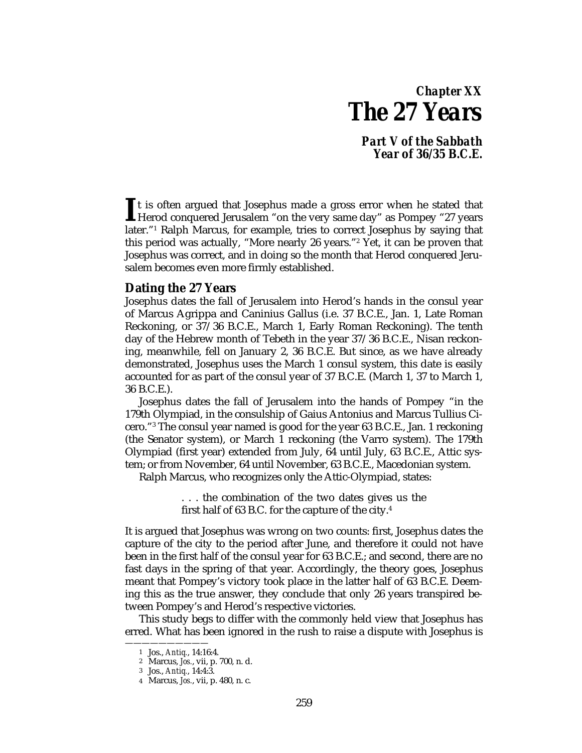# *Chapter XX The 27 Years*

*Part V of the Sabbath Year of 36/35 B.C.E.*

t is often argued that Josephus made a gross error when he stated that It is often argued that Josephus made a gross error when he stated that<br>Herod conquered Jerusalem "on the very same day" as Pompey "27 years<br>later "1 Belph Margue for grounde tries to correct losephus by saying that later."1 Ralph Marcus, for example, tries to correct Josephus by saying that this period was actually, "More nearly 26 years."2 Yet, it can be proven that Josephus was correct, and in doing so the month that Herod conquered Jerusalem becomes even more firmly established.

## **Dating the 27 Years**

Josephus dates the fall of Jerusalem into Herod's hands in the consul year of Marcus Agrippa and Caninius Gallus (i.e. 37 B.C.E., Jan. 1, Late Roman Reckoning, or 37/36 B.C.E., March 1, Early Roman Reckoning). The tenth day of the Hebrew month of Tebeth in the year 37/36 B.C.E., Nisan reckoning, meanwhile, fell on January 2, 36 B.C.E. But since, as we have already demonstrated, Josephus uses the March 1 consul system, this date is easily accounted for as part of the consul year of 37 B.C.E. (March 1, 37 to March 1, 36 B.C.E.).

Josephus dates the fall of Jerusalem into the hands of Pompey "in the 179th Olympiad, in the consulship of Gaius Antonius and Marcus Tullius Cicero."3 The consul year named is good for the year 63 B.C.E., Jan. 1 reckoning (the Senator system), or March 1 reckoning (the Varro system). The 179th Olympiad (first year) extended from July, 64 until July, 63 B.C.E., Attic system; or from November, 64 until November, 63 B.C.E., Macedonian system.

Ralph Marcus, who recognizes only the Attic-Olympiad, states:

. . . the combination of the two dates gives us the first half of 63 B.C. for the capture of the city.4

It is argued that Josephus was wrong on two counts: first, Josephus dates the capture of the city to the period after June, and therefore it could not have been in the first half of the consul year for 63 B.C.E.; and second, there are no fast days in the spring of that year. Accordingly, the theory goes, Josephus meant that Pompey's victory took place in the latter half of 63 B.C.E. Deeming this as the true answer, they conclude that only 26 years transpired between Pompey's and Herod's respective victories.

This study begs to differ with the commonly held view that Josephus has erred. What has been ignored in the rush to raise a dispute with Josephus is

<sup>1</sup> Jos., *Antiq.*, 14:16:4.

<sup>2</sup> Marcus, *Jos.*, vii, p. 700, n. d.

<sup>3</sup> Jos., *Antiq.*, 14:4:3.

<sup>4</sup> Marcus, *Jos.*, vii, p. 480, n. c.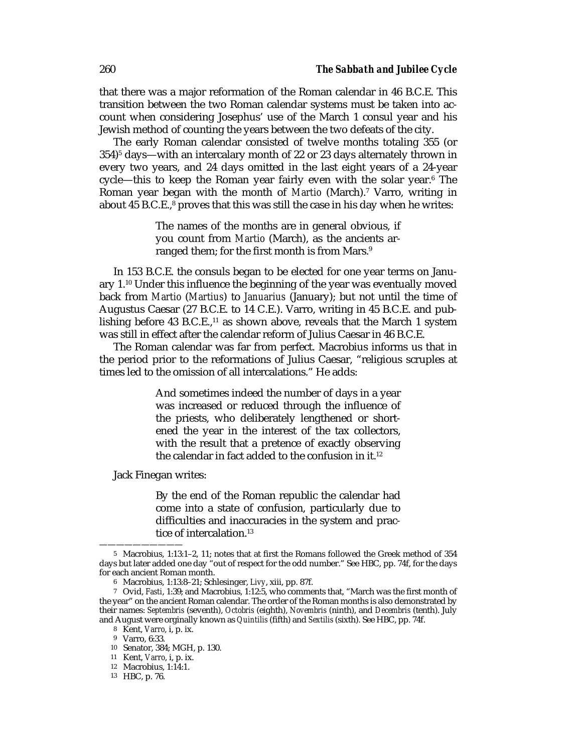that there was a major reformation of the Roman calendar in 46 B.C.E. This transition between the two Roman calendar systems must be taken into account when considering Josephus' use of the March 1 consul year and his Jewish method of counting the years between the two defeats of the city.

The early Roman calendar consisted of twelve months totaling 355 (or 354)5 days—with an intercalary month of 22 or 23 days alternately thrown in every two years, and 24 days omitted in the last eight years of a 24-year cycle—this to keep the Roman year fairly even with the solar year.6 The Roman year began with the month of *Martio* (March).7 Varro, writing in about 45 B.C.E.,<sup>8</sup> proves that this was still the case in his day when he writes:

> The names of the months are in general obvious, if you count from *Martio* (March), as the ancients arranged them; for the first month is from Mars.<sup>9</sup>

In 153 B.C.E. the consuls began to be elected for one year terms on January 1.10 Under this influence the beginning of the year was eventually moved back from *Martio* (*Martius*) to *Januarius* (January); but not until the time of Augustus Caesar (27 B.C.E. to 14 C.E.). Varro, writing in 45 B.C.E. and publishing before 43 B.C.E., $11$  as shown above, reveals that the March 1 system was still in effect after the calendar reform of Julius Caesar in 46 B.C.E.

The Roman calendar was far from perfect. Macrobius informs us that in the period prior to the reformations of Julius Caesar, "religious scruples at times led to the omission of all intercalations." He adds:

> And sometimes indeed the number of days in a year was increased or reduced through the influence of the priests, who deliberately lengthened or shortened the year in the interest of the tax collectors, with the result that a pretence of exactly observing the calendar in fact added to the confusion in it.12

Jack Finegan writes:

By the end of the Roman republic the calendar had come into a state of confusion, particularly due to difficulties and inaccuracies in the system and practice of intercalation.<sup>13</sup>

<sup>5</sup> Macrobius, 1:13:1–2, 11; notes that at first the Romans followed the Greek method of 354 days but later added one day "out of respect for the odd number." See HBC, pp. 74f, for the days for each ancient Roman month.

<sup>6</sup> Macrobius, 1:13:8–21; Schlesinger, *Livy*, xiii, pp. 87f.

<sup>7</sup> Ovid, *Fasti*, 1:39; and Macrobius, 1:12:5, who comments that, "March was the first month of the year" on the ancient Roman calendar. The order of the Roman months is also demonstrated by their names: *Septembris* (seventh), *Octobris* (eighth), *Novembris* (ninth), and *Decembris* (tenth). July and August were orginally known as *Quintilis* (fifth) and *Sextilis* (sixth). See HBC, pp. 74f.

<sup>8</sup> Kent, *Varro*, i, p. ix.

<sup>9</sup> Varro, 6:33.

<sup>10</sup> Senator, 384; MGH, p. 130.

<sup>11</sup> Kent, *Varro*, i, p. ix.

<sup>12</sup> Macrobius, 1:14:1.

<sup>13</sup> HBC, p. 76.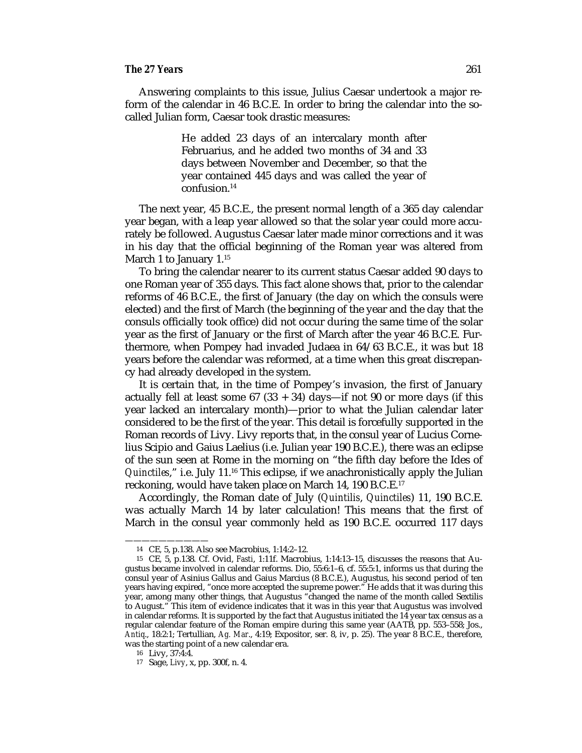#### *The 27 Years* 261

Answering complaints to this issue, Julius Caesar undertook a major reform of the calendar in 46 B.C.E. In order to bring the calendar into the socalled Julian form, Caesar took drastic measures:

> He added 23 days of an intercalary month after Februarius, and he added two months of 34 and 33 days between November and December, so that the year contained 445 days and was called the year of confusion.14

The next year, 45 B.C.E., the present normal length of a 365 day calendar year began, with a leap year allowed so that the solar year could more accurately be followed. Augustus Caesar later made minor corrections and it was in his day that the official beginning of the Roman year was altered from March 1 to January 1.<sup>15</sup>

To bring the calendar nearer to its current status Caesar added 90 days to one Roman year of 355 days. This fact alone shows that, prior to the calendar reforms of 46 B.C.E., the first of January (the day on which the consuls were elected) and the first of March (the beginning of the year and the day that the consuls officially took office) did not occur during the same time of the solar year as the first of January or the first of March after the year 46 B.C.E. Furthermore, when Pompey had invaded Judaea in 64/63 B.C.E., it was but 18 years before the calendar was reformed, at a time when this great discrepancy had already developed in the system.

It is certain that, in the time of Pompey's invasion, the first of January actually fell at least some  $67$  (33 + 34) days—if not 90 or more days (if this year lacked an intercalary month)—prior to what the Julian calendar later considered to be the first of the year. This detail is forcefully supported in the Roman records of Livy. Livy reports that, in the consul year of Lucius Cornelius Scipio and Gaius Laelius (i.e. Julian year 190 B.C.E.), there was an eclipse of the sun seen at Rome in the morning on "the fifth day before the Ides of *Quinctiles*," i.e. July 11.16 This eclipse, if we anachronistically apply the Julian reckoning, would have taken place on March 14, 190 B.C.E.17

Accordingly, the Roman date of July (*Quintilis*, *Quinctiles*) 11, 190 B.C.E. was actually March 14 by later calculation! This means that the first of March in the consul year commonly held as 190 B.C.E. occurred 117 days

<sup>14</sup> CE*,* 5, p.138. Also see Macrobius, 1:14:2–12.

<sup>15</sup> CE*,* 5, p.138. Cf. Ovid, *Fasti*, 1:11f. Macrobius, 1:14:13–15, discusses the reasons that Augustus became involved in calendar reforms. Dio, 55:6:1–6, cf. 55:5:1, informs us that during the consul year of Asinius Gallus and Gaius Marcius (8 B.C.E.), Augustus, his second period of ten years having expired, "once more accepted the supreme power." He adds that it was during this year, among many other things, that Augustus "changed the name of the month called Sextilis to August." This item of evidence indicates that it was in this year that Augustus was involved in calendar reforms. It is supported by the fact that Augustus initiated the 14 year tax census as a regular calendar feature of the Roman empire during this same year (AATB, pp. 553–558; Jos., *Antiq*., 18:2:1; Tertullian, *Ag. Mar*., 4:19; Expositor, ser. 8, iv, p. 25). The year 8 B.C.E., therefore, was the starting point of a new calendar era.

<sup>16</sup> Livy, 37:4:4.

<sup>17</sup> Sage, *Livy*, x, pp. 300f, n. 4.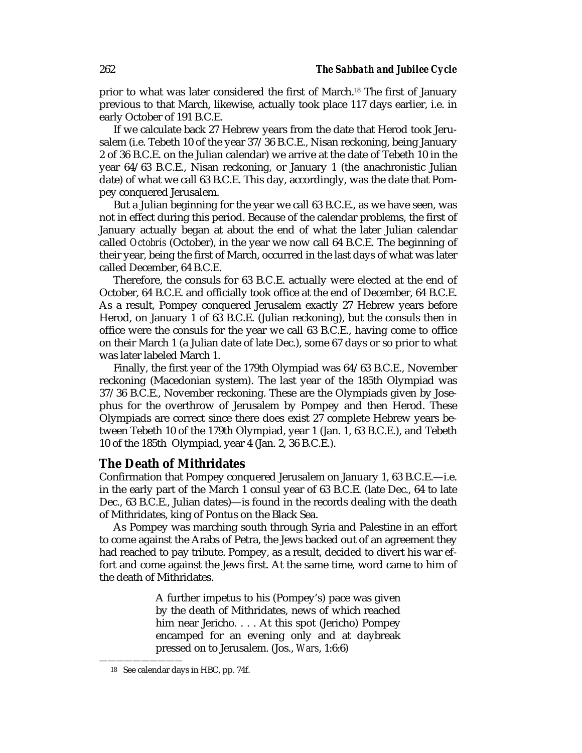prior to what was later considered the first of March.18 The first of January previous to that March, likewise, actually took place 117 days earlier, i.e. in early October of 191 B.C.E.

If we calculate back 27 Hebrew years from the date that Herod took Jerusalem (i.e. Tebeth 10 of the year 37/36 B.C.E., Nisan reckoning, being January 2 of 36 B.C.E. on the Julian calendar) we arrive at the date of Tebeth 10 in the year 64/63 B.C.E., Nisan reckoning, or January 1 (the anachronistic Julian date) of what we call 63 B.C.E. This day, accordingly, was the date that Pompey conquered Jerusalem.

But a Julian beginning for the year we call 63 B.C.E., as we have seen, was not in effect during this period. Because of the calendar problems, the first of January actually began at about the end of what the later Julian calendar called *Octobris* (October), in the year we now call 64 B.C.E. The beginning of their year, being the first of March, occurred in the last days of what was later called December, 64 B.C.E.

Therefore, the consuls for 63 B.C.E. actually were elected at the end of October, 64 B.C.E. and officially took office at the end of December, 64 B.C.E. As a result, Pompey conquered Jerusalem exactly 27 Hebrew years before Herod, on January 1 of 63 B.C.E. (Julian reckoning), but the consuls then in office were the consuls for the year we call 63 B.C.E., having come to office on their March 1 (a Julian date of late Dec.), some 67 days or so prior to what was later labeled March 1.

Finally, the first year of the 179th Olympiad was 64/63 B.C.E., November reckoning (Macedonian system). The last year of the 185th Olympiad was 37/36 B.C.E., November reckoning. These are the Olympiads given by Josephus for the overthrow of Jerusalem by Pompey and then Herod. These Olympiads are correct since there does exist 27 complete Hebrew years between Tebeth 10 of the 179th Olympiad, year 1 (Jan. 1, 63 B.C.E.), and Tebeth 10 of the 185th Olympiad, year 4 (Jan. 2, 36 B.C.E.).

## **The Death of Mithridates**

Confirmation that Pompey conquered Jerusalem on January 1, 63 B.C.E.—i.e. in the early part of the March 1 consul year of 63 B.C.E. (late Dec., 64 to late Dec., 63 B.C.E., Julian dates)—is found in the records dealing with the death of Mithridates, king of Pontus on the Black Sea.

As Pompey was marching south through Syria and Palestine in an effort to come against the Arabs of Petra, the Jews backed out of an agreement they had reached to pay tribute. Pompey, as a result, decided to divert his war effort and come against the Jews first. At the same time, word came to him of the death of Mithridates.

> A further impetus to his (Pompey's) pace was given by the death of Mithridates, news of which reached him near Jericho. . . . At this spot (Jericho) Pompey encamped for an evening only and at daybreak pressed on to Jerusalem. (Jos., *Wars*, 1:6:6)

<sup>18</sup> See calendar days in HBC, pp. 74f.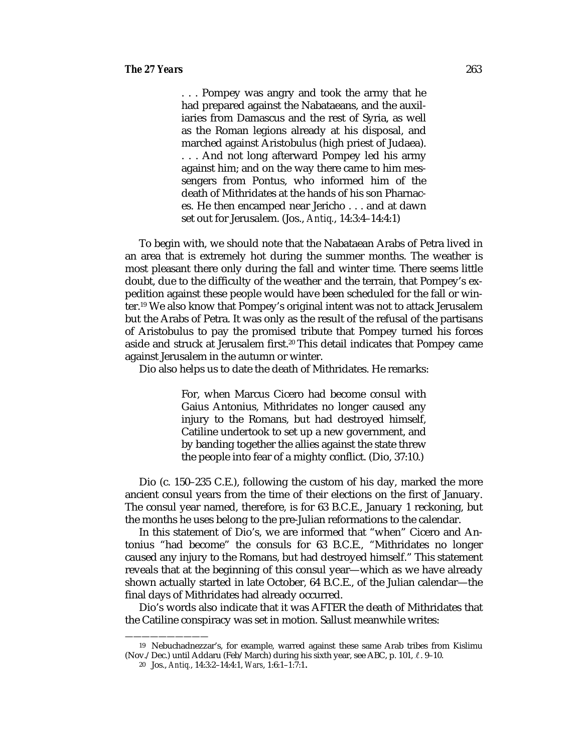. . . Pompey was angry and took the army that he had prepared against the Nabataeans, and the auxiliaries from Damascus and the rest of Syria, as well as the Roman legions already at his disposal, and marched against Aristobulus (high priest of Judaea). . . . And not long afterward Pompey led his army against him; and on the way there came to him messengers from Pontus, who informed him of the death of Mithridates at the hands of his son Pharnaces. He then encamped near Jericho . . . and at dawn set out for Jerusalem. (Jos., *Antiq.*, 14:3:4–14:4:1)

To begin with, we should note that the Nabataean Arabs of Petra lived in an area that is extremely hot during the summer months. The weather is most pleasant there only during the fall and winter time. There seems little doubt, due to the difficulty of the weather and the terrain, that Pompey's expedition against these people would have been scheduled for the fall or winter.19 We also know that Pompey's original intent was not to attack Jerusalem but the Arabs of Petra. It was only as the result of the refusal of the partisans of Aristobulus to pay the promised tribute that Pompey turned his forces aside and struck at Jerusalem first.20 This detail indicates that Pompey came against Jerusalem in the autumn or winter.

Dio also helps us to date the death of Mithridates. He remarks:

For, when Marcus Cicero had become consul with Gaius Antonius, Mithridates no longer caused any injury to the Romans, but had destroyed himself, Catiline undertook to set up a new government, and by banding together the allies against the state threw the people into fear of a mighty conflict. (Dio, 37:10.)

Dio (c. 150–235 C.E.), following the custom of his day, marked the more ancient consul years from the time of their elections on the first of January. The consul year named, therefore, is for 63 B.C.E., January 1 reckoning, but the months he uses belong to the pre-Julian reformations to the calendar.

In this statement of Dio's, we are informed that "when" Cicero and Antonius "had become" the consuls for 63 B.C.E., "Mithridates no longer caused any injury to the Romans, but had destroyed himself." This statement reveals that at the beginning of this consul year—which as we have already shown actually started in late October, 64 B.C.E., of the Julian calendar—the final days of Mithridates had already occurred.

Dio's words also indicate that it was AFTER the death of Mithridates that the Catiline conspiracy was set in motion. Sallust meanwhile writes:

<sup>19</sup> Nebuchadnezzar's, for example, warred against these same Arab tribes from Kislimu (Nov./Dec.) until Addaru (Feb/March) during his sixth year, see ABC, p. 101,  $\ell$ . 9–10.

<sup>20</sup> Jos., *Antiq.*, 14:3:2–14:4:1, *Wars*, 1:6:1–1:7:1.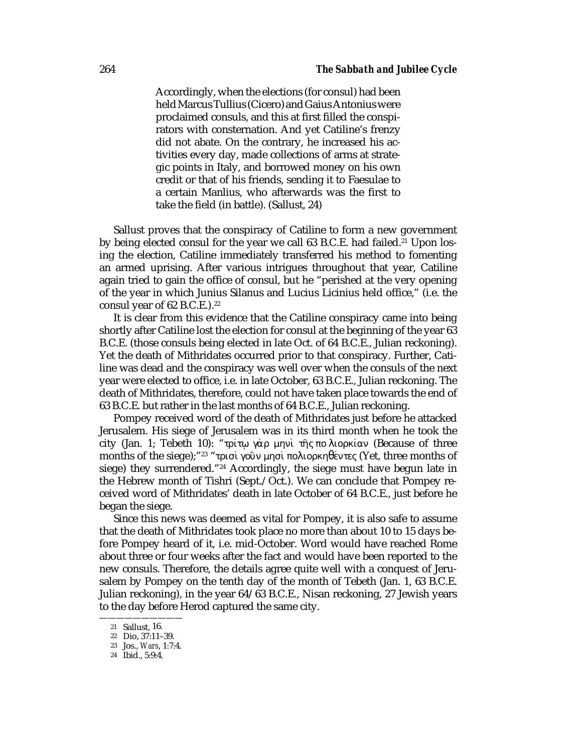Accordingly, when the elections (for consul) had been held Marcus Tullius (Cicero) and Gaius Antonius were proclaimed consuls, and this at first filled the conspirators with consternation. And yet Catiline's frenzy did not abate. On the contrary, he increased his activities every day, made collections of arms at strategic points in Italy, and borrowed money on his own credit or that of his friends, sending it to Faesulae to a certain Manlius, who afterwards was the first to take the field (in battle). (Sallust, 24)

Sallust proves that the conspiracy of Catiline to form a new government by being elected consul for the year we call  $63$  B.C.E. had failed.<sup>21</sup> Upon losing the election, Catiline immediately transferred his method to fomenting an armed uprising. After various intrigues throughout that year, Catiline again tried to gain the office of consul, but he "perished at the very opening of the year in which Junius Silanus and Lucius Licinius held office," (i.e. the consul year of 62 B.C.E.).<sup>22</sup>

It is clear from this evidence that the Catiline conspiracy came into being shortly after Catiline lost the election for consul at the beginning of the year 63 B.C.E. (those consuls being elected in late Oct. of 64 B.C.E., Julian reckoning). Yet the death of Mithridates occurred prior to that conspiracy. Further, Catiline was dead and the conspiracy was well over when the consuls of the next year were elected to office, i.e. in late October, 63 B.C.E., Julian reckoning. The death of Mithridates, therefore, could not have taken place towards the end of 63 B.C.E. but rather in the last months of 64 B.C.E., Julian reckoning.

Pompey received word of the death of Mithridates just before he attacked Jerusalem. His siege of Jerusalem was in its third month when he took the city (Jan. 1; Tebeth 10): "τρίτω γὰρ μηνὶ τῆς πο λιορκίαν (Because of three months of the siege);"<sup>23</sup> "τρισι γούν μησι πολιορκηθέντες (Yet, three months of siege) they surrendered."24 Accordingly, the siege must have begun late in the Hebrew month of Tishri (Sept./Oct.). We can conclude that Pompey received word of Mithridates' death in late October of 64 B.C.E., just before he began the siege.

Since this news was deemed as vital for Pompey, it is also safe to assume that the death of Mithridates took place no more than about 10 to 15 days before Pompey heard of it, i.e. mid-October. Word would have reached Rome about three or four weeks after the fact and would have been reported to the new consuls. Therefore, the details agree quite well with a conquest of Jerusalem by Pompey on the tenth day of the month of Tebeth (Jan. 1, 63 B.C.E. Julian reckoning), in the year 64/63 B.C.E., Nisan reckoning, 27 Jewish years to the day before Herod captured the same city.

<sup>——————————</sup> <sup>21</sup> Sallust, 16.

<sup>22</sup> Dio, 37:11–39.

<sup>23</sup> Jos., *Wars*, 1:7:4.

<sup>24</sup> Ibid., 5:9:4.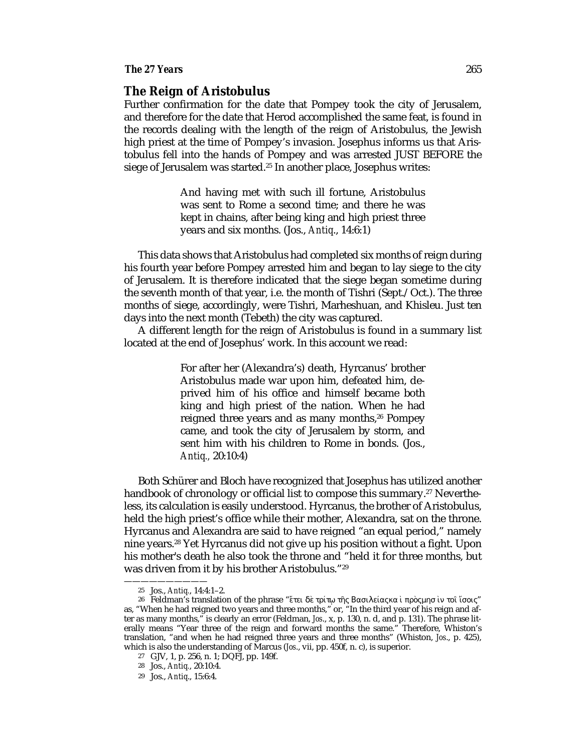#### *The 27 Years* 265

# **The Reign of Aristobulus**

Further confirmation for the date that Pompey took the city of Jerusalem, and therefore for the date that Herod accomplished the same feat, is found in the records dealing with the length of the reign of Aristobulus, the Jewish high priest at the time of Pompey's invasion. Josephus informs us that Aristobulus fell into the hands of Pompey and was arrested JUST BEFORE the siege of Jerusalem was started.<sup>25</sup> In another place, Josephus writes:

> And having met with such ill fortune, Aristobulus was sent to Rome a second time; and there he was kept in chains, after being king and high priest three years and six months. (Jos., *Antiq*., 14:6:1)

This data shows that Aristobulus had completed six months of reign during his fourth year before Pompey arrested him and began to lay siege to the city of Jerusalem. It is therefore indicated that the siege began sometime during the seventh month of that year, i.e. the month of Tishri (Sept./Oct.). The three months of siege, accordingly, were Tishri, Marheshuan, and Khisleu. Just ten days into the next month (Tebeth) the city was captured.

A different length for the reign of Aristobulus is found in a summary list located at the end of Josephus' work. In this account we read:

> For after her (Alexandra's) death, Hyrcanus' brother Aristobulus made war upon him, defeated him, deprived him of his office and himself became both king and high priest of the nation. When he had reigned three years and as many months,<sup>26</sup> Pompey came, and took the city of Jerusalem by storm, and sent him with his children to Rome in bonds. (Jos., *Antiq.,* 20:10:4)

Both Schürer and Bloch have recognized that Josephus has utilized another handbook of chronology or official list to compose this summary.<sup>27</sup> Nevertheless, its calculation is easily understood. Hyrcanus, the brother of Aristobulus, held the high priest's office while their mother, Alexandra, sat on the throne. Hyrcanus and Alexandra are said to have reigned "an equal period," namely nine years.28 Yet Hyrcanus did not give up his position without a fight. Upon his mother's death he also took the throne and "held it for three months, but was driven from it by his brother Aristobulus."29

<sup>25</sup> Jos., *Antiq.*, 14:4:1–2.

<sup>26</sup> Feldman's translation of the phrase "έτει δὲ τρίτω της Βασιλείας κα ι προςμησ ιν τοι ίσοις" as, "When he had reigned two years and three months," or, "In the third year of his reign and after as many months," is clearly an error (Feldman, *Jos*., x, p. 130, n. d, and p. 131). The phrase literally means "Year three of the reign and forward months the same." Therefore, Whiston's translation, "and when he had reigned three years and three months" (Whiston, *Jos*., p. 425), which is also the understanding of Marcus (*Jos*., vii, pp. 450f, n. c), is superior.

<sup>27</sup> GJV, 1, p. 256, n. 1; DQFJ, pp. 149f.

<sup>28</sup> Jos., *Antiq.*, 20:10:4.

<sup>29</sup> Jos., *Antiq*., 15:6:4.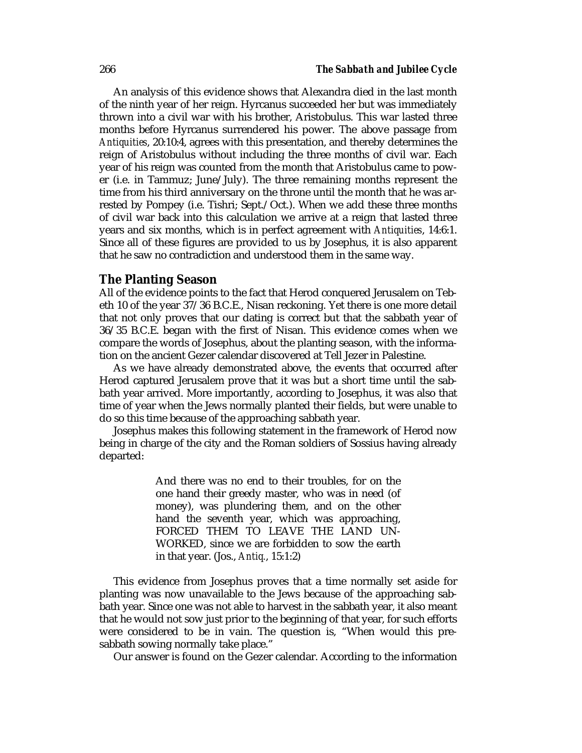An analysis of this evidence shows that Alexandra died in the last month of the ninth year of her reign. Hyrcanus succeeded her but was immediately thrown into a civil war with his brother, Aristobulus. This war lasted three months before Hyrcanus surrendered his power. The above passage from *Antiquities*, 20:10:4, agrees with this presentation, and thereby determines the reign of Aristobulus without including the three months of civil war. Each year of his reign was counted from the month that Aristobulus came to power (i.e. in Tammuz; June/July). The three remaining months represent the time from his third anniversary on the throne until the month that he was arrested by Pompey (i.e. Tishri; Sept./Oct.). When we add these three months of civil war back into this calculation we arrive at a reign that lasted three years and six months, which is in perfect agreement with *Antiquities*, 14:6:1. Since all of these figures are provided to us by Josephus, it is also apparent that he saw no contradiction and understood them in the same way.

### **The Planting Season**

All of the evidence points to the fact that Herod conquered Jerusalem on Tebeth 10 of the year 37/36 B.C.E., Nisan reckoning. Yet there is one more detail that not only proves that our dating is correct but that the sabbath year of 36/35 B.C.E. began with the first of Nisan. This evidence comes when we compare the words of Josephus, about the planting season, with the information on the ancient Gezer calendar discovered at Tell Jezer in Palestine.

As we have already demonstrated above, the events that occurred after Herod captured Jerusalem prove that it was but a short time until the sabbath year arrived. More importantly, according to Josephus, it was also that time of year when the Jews normally planted their fields, but were unable to do so this time because of the approaching sabbath year.

Josephus makes this following statement in the framework of Herod now being in charge of the city and the Roman soldiers of Sossius having already departed:

> And there was no end to their troubles, for on the one hand their greedy master, who was in need (of money), was plundering them, and on the other hand the seventh year, which was approaching, FORCED THEM TO LEAVE THE LAND UN-WORKED, since we are forbidden to sow the earth in that year. (Jos., *Antiq.*, 15:1:2)

This evidence from Josephus proves that a time normally set aside for planting was now unavailable to the Jews because of the approaching sabbath year. Since one was not able to harvest in the sabbath year, it also meant that he would not sow just prior to the beginning of that year, for such efforts were considered to be in vain. The question is, "When would this presabbath sowing normally take place."

Our answer is found on the Gezer calendar. According to the information